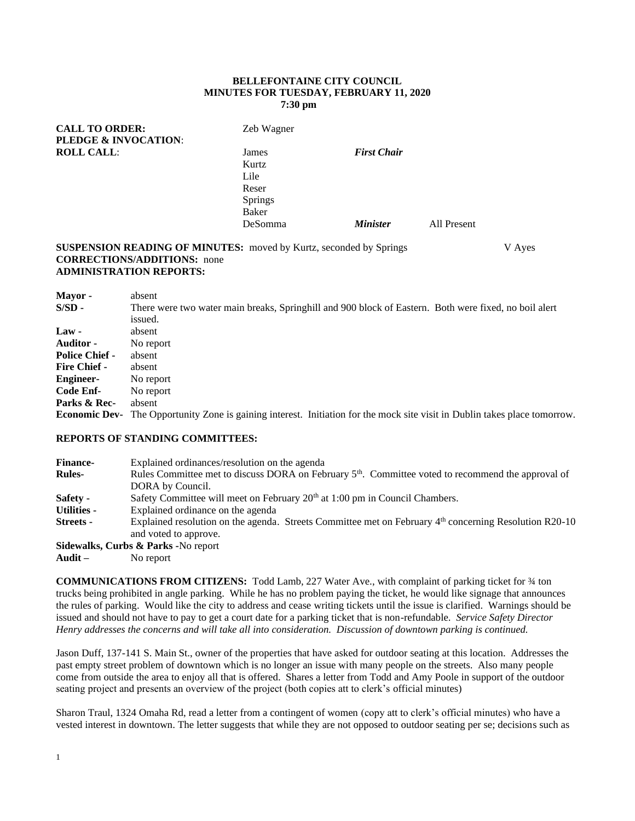### **BELLEFONTAINE CITY COUNCIL MINUTES FOR TUESDAY, FEBRUARY 11, 2020 7:30 pm**

| <b>CALL TO ORDER:</b><br><b>PLEDGE &amp; INVOCATION:</b> | Zeb Wagner     |                        |             |
|----------------------------------------------------------|----------------|------------------------|-------------|
| <b>ROLL CALL:</b>                                        | James          | <b>First Chair</b>     |             |
|                                                          | Kurtz          |                        |             |
|                                                          | Lile           |                        |             |
|                                                          | Reser          |                        |             |
|                                                          | <b>Springs</b> |                        |             |
|                                                          | Baker          |                        |             |
|                                                          | DeSomma        | <i><b>Minister</b></i> | All Present |
|                                                          |                |                        |             |

### **SUSPENSION READING OF MINUTES:** moved by Kurtz, seconded by Springs V Ayes **CORRECTIONS/ADDITIONS:** none **ADMINISTRATION REPORTS:**

| Mayor -               | absent                                                                                                       |
|-----------------------|--------------------------------------------------------------------------------------------------------------|
| $S/SD -$              | There were two water main breaks, Springhill and 900 block of Eastern. Both were fixed, no boil alert        |
|                       | issued.                                                                                                      |
| $Law -$               | absent                                                                                                       |
| <b>Auditor -</b>      | No report                                                                                                    |
| <b>Police Chief -</b> | absent                                                                                                       |
| <b>Fire Chief -</b>   | absent                                                                                                       |
| <b>Engineer-</b>      | No report                                                                                                    |
| Code Enf-             | No report                                                                                                    |
| Parks & Rec-          | absent                                                                                                       |
| <b>Economic Dev-</b>  | The Opportunity Zone is gaining interest. Initiation for the mock site visit in Dublin takes place tomorrow. |

# **REPORTS OF STANDING COMMITTEES:**

| <b>Finance-</b>    | Explained ordinances/resolution on the agenda                                                                                     |
|--------------------|-----------------------------------------------------------------------------------------------------------------------------------|
| <b>Rules-</b>      | Rules Committee met to discuss DORA on February 5 <sup>th</sup> . Committee voted to recommend the approval of                    |
|                    | DORA by Council.                                                                                                                  |
| Safety -           | Safety Committee will meet on February 20 <sup>th</sup> at 1:00 pm in Council Chambers.                                           |
| <b>Utilities -</b> | Explained ordinance on the agenda                                                                                                 |
| Streets -          | Explained resolution on the agenda. Streets Committee met on February $4th$ concerning Resolution R20-10<br>and voted to approve. |
|                    | Sidewalks, Curbs & Parks -No report                                                                                               |

**Audit –** No report

**COMMUNICATIONS FROM CITIZENS:** Todd Lamb, 227 Water Ave., with complaint of parking ticket for ¾ ton trucks being prohibited in angle parking. While he has no problem paying the ticket, he would like signage that announces the rules of parking. Would like the city to address and cease writing tickets until the issue is clarified. Warnings should be issued and should not have to pay to get a court date for a parking ticket that is non-refundable. *Service Safety Director Henry addresses the concerns and will take all into consideration. Discussion of downtown parking is continued.*

Jason Duff, 137-141 S. Main St., owner of the properties that have asked for outdoor seating at this location. Addresses the past empty street problem of downtown which is no longer an issue with many people on the streets. Also many people come from outside the area to enjoy all that is offered. Shares a letter from Todd and Amy Poole in support of the outdoor seating project and presents an overview of the project (both copies att to clerk's official minutes)

Sharon Traul, 1324 Omaha Rd, read a letter from a contingent of women (copy att to clerk's official minutes) who have a vested interest in downtown. The letter suggests that while they are not opposed to outdoor seating per se; decisions such as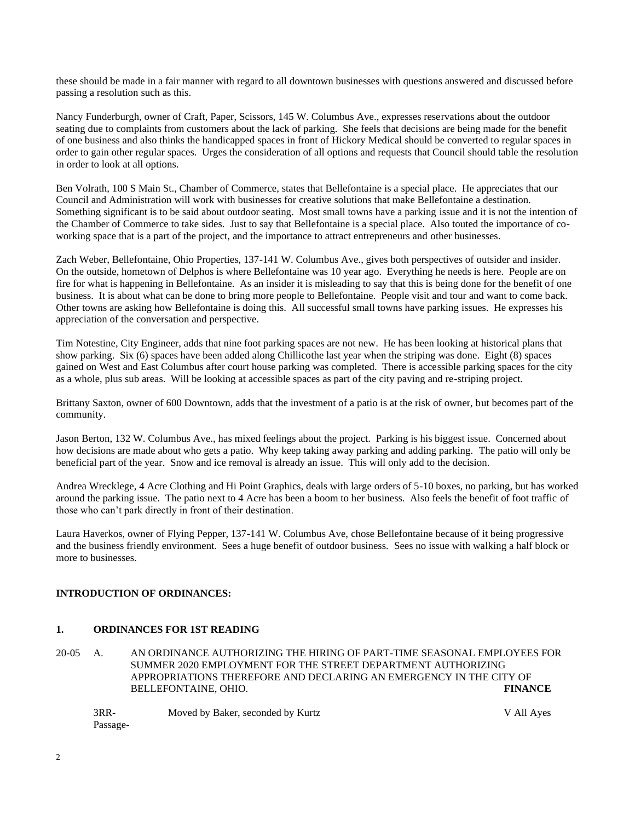these should be made in a fair manner with regard to all downtown businesses with questions answered and discussed before passing a resolution such as this.

Nancy Funderburgh, owner of Craft, Paper, Scissors, 145 W. Columbus Ave., expresses reservations about the outdoor seating due to complaints from customers about the lack of parking. She feels that decisions are being made for the benefit of one business and also thinks the handicapped spaces in front of Hickory Medical should be converted to regular spaces in order to gain other regular spaces. Urges the consideration of all options and requests that Council should table the resolution in order to look at all options.

Ben Volrath, 100 S Main St., Chamber of Commerce, states that Bellefontaine is a special place. He appreciates that our Council and Administration will work with businesses for creative solutions that make Bellefontaine a destination. Something significant is to be said about outdoor seating. Most small towns have a parking issue and it is not the intention of the Chamber of Commerce to take sides. Just to say that Bellefontaine is a special place. Also touted the importance of coworking space that is a part of the project, and the importance to attract entrepreneurs and other businesses.

Zach Weber, Bellefontaine, Ohio Properties, 137-141 W. Columbus Ave., gives both perspectives of outsider and insider. On the outside, hometown of Delphos is where Bellefontaine was 10 year ago. Everything he needs is here. People are on fire for what is happening in Bellefontaine. As an insider it is misleading to say that this is being done for the benefit of one business. It is about what can be done to bring more people to Bellefontaine. People visit and tour and want to come back. Other towns are asking how Bellefontaine is doing this. All successful small towns have parking issues. He expresses his appreciation of the conversation and perspective.

Tim Notestine, City Engineer, adds that nine foot parking spaces are not new. He has been looking at historical plans that show parking. Six (6) spaces have been added along Chillicothe last year when the striping was done. Eight (8) spaces gained on West and East Columbus after court house parking was completed. There is accessible parking spaces for the city as a whole, plus sub areas. Will be looking at accessible spaces as part of the city paving and re-striping project.

Brittany Saxton, owner of 600 Downtown, adds that the investment of a patio is at the risk of owner, but becomes part of the community.

Jason Berton, 132 W. Columbus Ave., has mixed feelings about the project. Parking is his biggest issue. Concerned about how decisions are made about who gets a patio. Why keep taking away parking and adding parking. The patio will only be beneficial part of the year. Snow and ice removal is already an issue. This will only add to the decision.

Andrea Wrecklege, 4 Acre Clothing and Hi Point Graphics, deals with large orders of 5-10 boxes, no parking, but has worked around the parking issue. The patio next to 4 Acre has been a boom to her business. Also feels the benefit of foot traffic of those who can't park directly in front of their destination.

Laura Haverkos, owner of Flying Pepper, 137-141 W. Columbus Ave, chose Bellefontaine because of it being progressive and the business friendly environment. Sees a huge benefit of outdoor business. Sees no issue with walking a half block or more to businesses.

## **INTRODUCTION OF ORDINANCES:**

#### **1. ORDINANCES FOR 1ST READING**

20-05 A. AN ORDINANCE AUTHORIZING THE HIRING OF PART-TIME SEASONAL EMPLOYEES FOR SUMMER 2020 EMPLOYMENT FOR THE STREET DEPARTMENT AUTHORIZING APPROPRIATIONS THEREFORE AND DECLARING AN EMERGENCY IN THE CITY OF BELLEFONTAINE, OHIO. **FINANCE**

3RR- Moved by Baker, seconded by Kurtz V All Ayes Passage-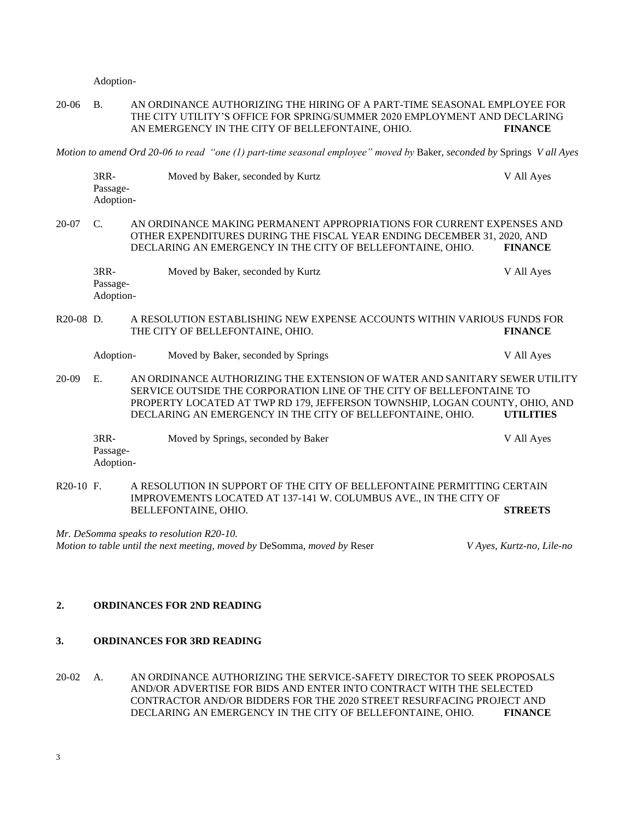Adoption-

20-06 B. AN ORDINANCE AUTHORIZING THE HIRING OF A PART-TIME SEASONAL EMPLOYEE FOR THE CITY UTILITY'S OFFICE FOR SPRING/SUMMER 2020 EMPLOYMENT AND DECLARING AN EMERGENCY IN THE CITY OF BELLEFONTAINE, OHIO. **FINANCE**

*Motion to amend Ord 20-06 to read "one (1) part-time seasonal employee" moved by* Baker, *seconded by* Springs *V all Ayes*

|             | 3RR-<br>Passage-<br>Adoption-   | Moved by Baker, seconded by Kurtz                                                                                                                                                                                                                                                               | V All Ayes                |
|-------------|---------------------------------|-------------------------------------------------------------------------------------------------------------------------------------------------------------------------------------------------------------------------------------------------------------------------------------------------|---------------------------|
| 20-07       | C.                              | AN ORDINANCE MAKING PERMANENT APPROPRIATIONS FOR CURRENT EXPENSES AND<br>OTHER EXPENDITURES DURING THE FISCAL YEAR ENDING DECEMBER 31, 2020, AND<br>DECLARING AN EMERGENCY IN THE CITY OF BELLEFONTAINE, OHIO.                                                                                  | <b>FINANCE</b>            |
|             | $3RR-$<br>Passage-<br>Adoption- | Moved by Baker, seconded by Kurtz                                                                                                                                                                                                                                                               | V All Ayes                |
| $R20-08$ D. |                                 | A RESOLUTION ESTABLISHING NEW EXPENSE ACCOUNTS WITHIN VARIOUS FUNDS FOR<br>THE CITY OF BELLEFONTAINE, OHIO.                                                                                                                                                                                     | <b>FINANCE</b>            |
|             | Adoption-                       | Moved by Baker, seconded by Springs                                                                                                                                                                                                                                                             | V All Ayes                |
| 20-09       | E.                              | AN ORDINANCE AUTHORIZING THE EXTENSION OF WATER AND SANITARY SEWER UTILITY<br>SERVICE OUTSIDE THE CORPORATION LINE OF THE CITY OF BELLEFONTAINE TO<br>PROPERTY LOCATED AT TWP RD 179, JEFFERSON TOWNSHIP, LOGAN COUNTY, OHIO, AND<br>DECLARING AN EMERGENCY IN THE CITY OF BELLEFONTAINE, OHIO. | <b>UTILITIES</b>          |
|             | 3RR-<br>Passage-<br>Adoption-   | Moved by Springs, seconded by Baker                                                                                                                                                                                                                                                             | V All Ayes                |
| $R20-10$ F. |                                 | A RESOLUTION IN SUPPORT OF THE CITY OF BELLEFONTAINE PERMITTING CERTAIN<br>IMPROVEMENTS LOCATED AT 137-141 W. COLUMBUS AVE., IN THE CITY OF<br>BELLEFONTAINE, OHIO.                                                                                                                             | <b>STREETS</b>            |
|             |                                 | Mr. DeSomma speaks to resolution R20-10.                                                                                                                                                                                                                                                        |                           |
|             |                                 | Motion to table until the next meeting, moved by DeSomma, moved by Reser                                                                                                                                                                                                                        | V Ayes, Kurtz-no, Lile-no |

### **2. ORDINANCES FOR 2ND READING**

## **3. ORDINANCES FOR 3RD READING**

20-02 A. AN ORDINANCE AUTHORIZING THE SERVICE-SAFETY DIRECTOR TO SEEK PROPOSALS AND/OR ADVERTISE FOR BIDS AND ENTER INTO CONTRACT WITH THE SELECTED CONTRACTOR AND/OR BIDDERS FOR THE 2020 STREET RESURFACING PROJECT AND DECLARING AN EMERGENCY IN THE CITY OF BELLEFONTAINE, OHIO. **FINANCE**